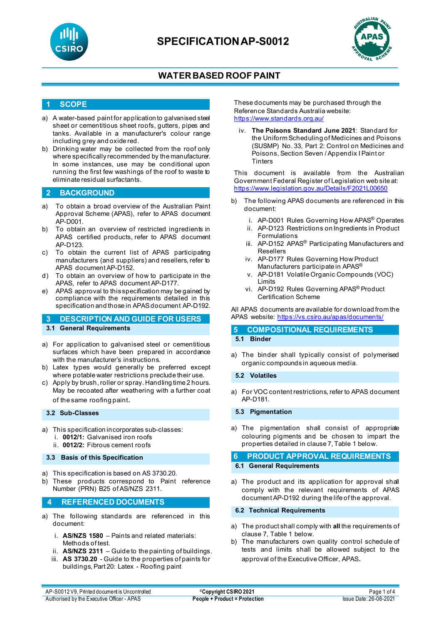



### **1 SCOPE**

- a) A water-based paint for application to galvanised steel sheet or cementitious sheet roofs, gutters, pipes and tanks. Available in a manufacturer's colour range including grey and oxide red.
- b) Drinking water may be collected from the roof only where specifically recommended by the manufacturer. In some instances, use may be conditional upon running the first few washings of the roof to waste to eliminate residual surfactants.

### **2 BACKGROUND**

- a) To obtain a broad overview of the Australian Paint Approval Scheme (APAS), refer to APAS document AP-D001.
- b) To obtain an overview of restricted ingredients in APAS certified products, refer to APAS document AP-D123.
- c) To obtain the current list of APAS participating manufacturers (and suppliers) and resellers, refer to APAS document AP-D152.
- d) To obtain an overview of how to participate in the APAS, refer to APAS document AP-D177.
- e) APAS approval to this specification may be gained by compliance with the requirements detailed in this specification and those in APAS document AP-D192.

### **3 DESCRIPTION AND GUIDE FOR USERS 3.1 General Requirements**

- a) For application to galvanised steel or cementitious surfaces which have been prepared in accordance with the manufacturer's instructions.
- b) Latex types would generally be preferred except where potable water restrictions preclude their use.
- c) Apply by brush, roller or spray. Handling time 2 hours. May be recoated after weathering with a further coat of the same roofing paint.

#### **3.2 Sub-Classes**

- a) This specification incorporates sub-classes: i. **0012/1:** Galvanised iron roofs
	- ii. **0012/2:** Fibrous cement roofs

#### **3.3 Basis of this Specification**

- a) This specification is based on AS 3730.20.
- b) These products correspond to Paint reference Number (PRN) B25 of AS/NZS 2311.

#### **4 REFERENCED DOCUMENTS**

- a) The following standards are referenced in this document:
	- i. **AS/NZS 1580** Paints and related materials: Methods of test.
	- ii. **AS/NZS 2311** Guide to the painting of buildings.
	- iii. **AS 3730.20** Guide to the properties of paints for buildings, Part 20: Latex - Roofing paint

These documents may be purchased through the Reference Standards Australia website: <https://www.standards.org.au/>

iv. **The Poisons Standard June 2021**: Standard for the Uniform Scheduling of Medicines and Poisons (SUSMP) No. 33, Part 2: Control on Medicines and Poisons, Section Seven / Appendix I Paint or **Tinters** 

This document is available from the Australian Government Federal Register of Legislation web site at: <https://www.legislation.gov.au/Details/F2021L00650>

- b) The following APAS documents are referenced in this document:
	- i. AP-D001 Rules Governing How APAS® Operates
	- ii. AP-D123 Restrictions on Ingredients in Product Formulations
	- iii. AP-D152 APAS<sup>®</sup> Participating Manufacturers and Resellers
	- iv. AP-D177 Rules Governing How Product Manufacturers participate in APAS<sup>®</sup>
	- v. AP-D181 Volatile Organic Compounds (VOC) Limits
	- vi. AP-D192 Rules Governing APAS® Product Certification Scheme

All APAS documents are available for download from the APAS website:<https://vs.csiro.au/apas/documents/>

# **5 COMPOSITIONAL REQUIREMENTS**

### **5.1 Binder**

a) The binder shall typically consist of polymerised organic compounds in aqueous media.

#### **5.2 Volatiles**

a) For VOC content restrictions, refer to APAS document AP-D181.

**5.3 Pigmentation**

a) The pigmentation shall consist of appropriate colouring pigments and be chosen to impart the properties detailed in clause 7, Table 1 below.

#### **6 PRODUCT APPROVAL REQUIREMENTS 6.1 General Requirements**

a) The product and its application for approval shall comply with the relevant requirements of APAS document AP-D192 during the life of the approval.

#### **6.2 Technical Requirements**

- a) The product shall comply with **all** the requirements of clause 7, Table 1 below.
- b) The manufacturers own quality control schedule of tests and limits shall be allowed subject to the approval of the Executive Officer, APAS.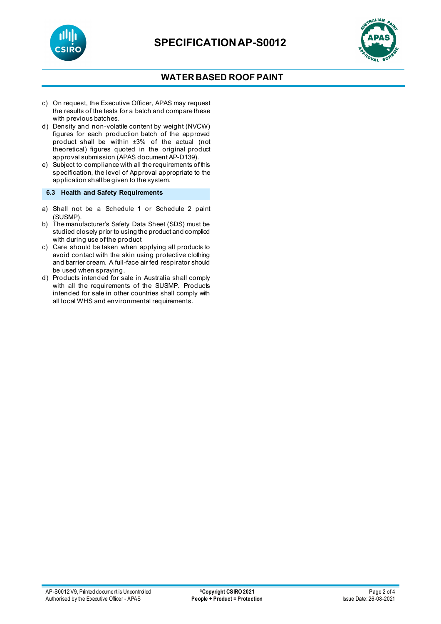



- c) On request, the Executive Officer, APAS may request the results of the tests for a batch and compare these with previous batches.
- d) Density and non-volatile content by weight (NVCW) figures for each production batch of the approved product shall be within ±3% of the actual (not theoretical) figures quoted in the original product approval submission (APAS document AP-D139).
- e) Subject to compliance with all the requirements of this specification, the level of Approval appropriate to the application shall be given to the system.

**6.3 Health and Safety Requirements**

- a) Shall not be a Schedule 1 or Schedule 2 paint (SUSMP).
- b) The manufacturer's Safety Data Sheet (SDS) must be studied closely prior to using the product and complied with during use of the product
- c) Care should be taken when applying all products to avoid contact with the skin using protective clothing and barrier cream. A full-face air fed respirator should be used when spraying.
- d) Products intended for sale in Australia shall comply with all the requirements of the SUSMP. Products intended for sale in other countries shall comply with all local WHS and environmental requirements.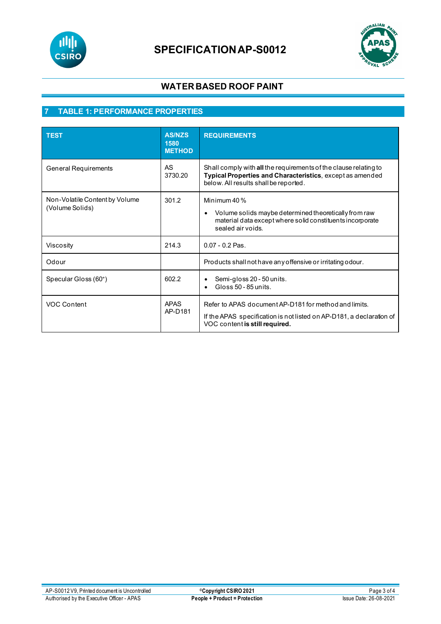



# **7 TABLE 1: PERFORMANCE PROPERTIES**

| <b>TEST</b>                                       | <b>AS/NZS</b><br>1580<br><b>METHOD</b> | <b>REQUIREMENTS</b>                                                                                                                                                    |
|---------------------------------------------------|----------------------------------------|------------------------------------------------------------------------------------------------------------------------------------------------------------------------|
| General Requirements                              | AS<br>3730.20                          | Shall comply with all the requirements of the clause relating to<br>Typical Properties and Characteristics, except as amended<br>below. All results shall be reported. |
| Non-Volatile Content by Volume<br>(Volume Solids) | 301.2                                  | Minimum $40\%$<br>Volume solids maybe determined theoretically from raw<br>$\bullet$<br>material data except where solid constituents incorporate<br>sealed air voids. |
| Viscosity                                         | 214.3                                  | $0.07 - 0.2$ Pas.                                                                                                                                                      |
| Odour                                             |                                        | Products shall not have any offensive or irritating odour.                                                                                                             |
| Specular Gloss (60°)                              | 602.2                                  | Semi-gloss 20 - 50 units.<br>$Gloss 50 - 85 units$                                                                                                                     |
| <b>VOC Content</b>                                | <b>APAS</b><br>AP-D181                 | Refer to APAS document AP-D181 for method and limits.<br>If the APAS specification is not listed on AP-D181, a declaration of<br>VOC content is still required.        |